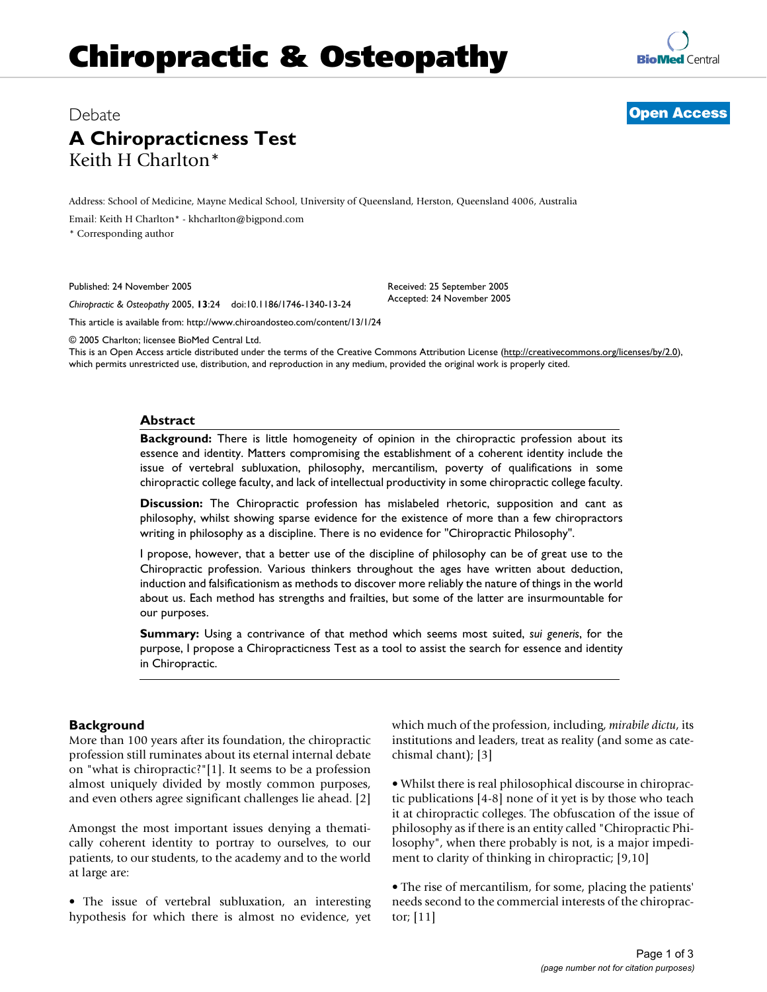# **Chiropractic & Osteopathy**

## Debate **[Open Access](http://www.biomedcentral.com/info/about/charter/) A Chiropracticness Test** Keith H Charlton\*

Address: School of Medicine, Mayne Medical School, University of Queensland, Herston, Queensland 4006, Australia

Email: Keith H Charlton\* - khcharlton@bigpond.com

\* Corresponding author

Published: 24 November 2005

*Chiropractic & Osteopathy* 2005, **13**:24 doi:10.1186/1746-1340-13-24

[This article is available from: http://www.chiroandosteo.com/content/13/1/24](http://www.chiroandosteo.com/content/13/1/24)

© 2005 Charlton; licensee BioMed Central Ltd.

This is an Open Access article distributed under the terms of the Creative Commons Attribution License [\(http://creativecommons.org/licenses/by/2.0\)](http://creativecommons.org/licenses/by/2.0), which permits unrestricted use, distribution, and reproduction in any medium, provided the original work is properly cited.

Received: 25 September 2005 Accepted: 24 November 2005

#### **Abstract**

**Background:** There is little homogeneity of opinion in the chiropractic profession about its essence and identity. Matters compromising the establishment of a coherent identity include the issue of vertebral subluxation, philosophy, mercantilism, poverty of qualifications in some chiropractic college faculty, and lack of intellectual productivity in some chiropractic college faculty.

**Discussion:** The Chiropractic profession has mislabeled rhetoric, supposition and cant as philosophy, whilst showing sparse evidence for the existence of more than a few chiropractors writing in philosophy as a discipline. There is no evidence for "Chiropractic Philosophy".

I propose, however, that a better use of the discipline of philosophy can be of great use to the Chiropractic profession. Various thinkers throughout the ages have written about deduction, induction and falsificationism as methods to discover more reliably the nature of things in the world about us. Each method has strengths and frailties, but some of the latter are insurmountable for our purposes.

**Summary:** Using a contrivance of that method which seems most suited, *sui generis*, for the purpose, I propose a Chiropracticness Test as a tool to assist the search for essence and identity in Chiropractic.

#### **Background**

More than 100 years after its foundation, the chiropractic profession still ruminates about its eternal internal debate on "what is chiropractic?"[1]. It seems to be a profession almost uniquely divided by mostly common purposes, and even others agree significant challenges lie ahead. [2]

Amongst the most important issues denying a thematically coherent identity to portray to ourselves, to our patients, to our students, to the academy and to the world at large are:

• The issue of vertebral subluxation, an interesting hypothesis for which there is almost no evidence, yet which much of the profession, including, *mirabile dictu*, its institutions and leaders, treat as reality (and some as catechismal chant); [3]

• Whilst there is real philosophical discourse in chiropractic publications [4-8] none of it yet is by those who teach it at chiropractic colleges. The obfuscation of the issue of philosophy as if there is an entity called "Chiropractic Philosophy", when there probably is not, is a major impediment to clarity of thinking in chiropractic; [9,10]

• The rise of mercantilism, for some, placing the patients' needs second to the commercial interests of the chiropractor; [11]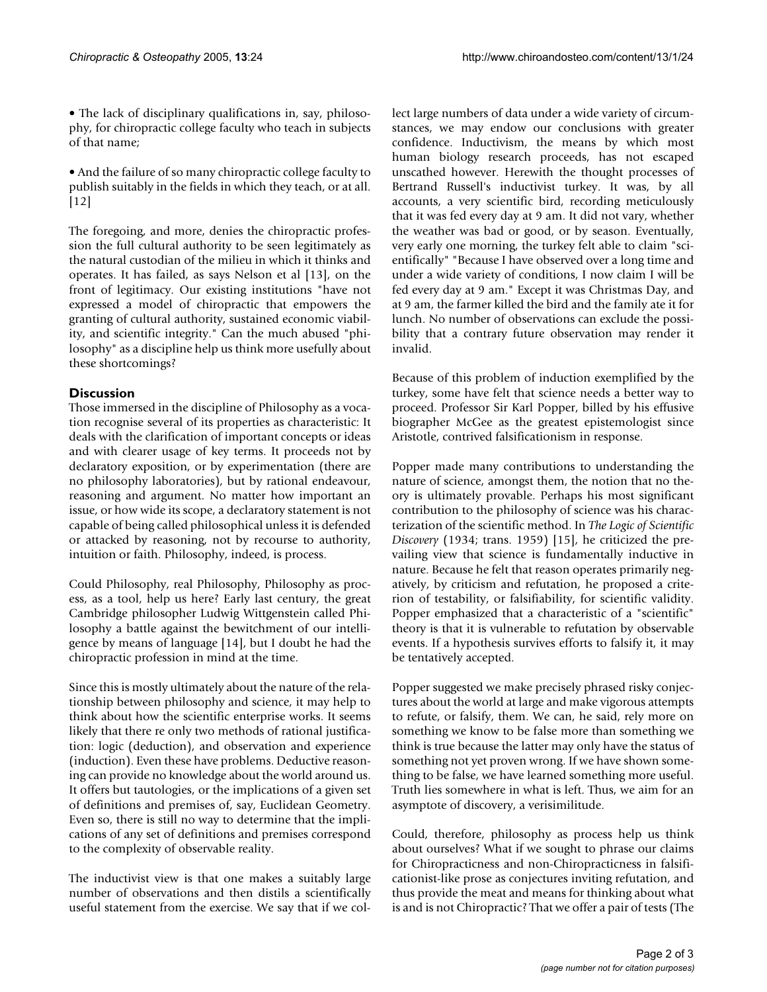• The lack of disciplinary qualifications in, say, philosophy, for chiropractic college faculty who teach in subjects of that name;

• And the failure of so many chiropractic college faculty to publish suitably in the fields in which they teach, or at all. [12]

The foregoing, and more, denies the chiropractic profession the full cultural authority to be seen legitimately as the natural custodian of the milieu in which it thinks and operates. It has failed, as says Nelson et al [13], on the front of legitimacy. Our existing institutions "have not expressed a model of chiropractic that empowers the granting of cultural authority, sustained economic viability, and scientific integrity." Can the much abused "philosophy" as a discipline help us think more usefully about these shortcomings?

### **Discussion**

Those immersed in the discipline of Philosophy as a vocation recognise several of its properties as characteristic: It deals with the clarification of important concepts or ideas and with clearer usage of key terms. It proceeds not by declaratory exposition, or by experimentation (there are no philosophy laboratories), but by rational endeavour, reasoning and argument. No matter how important an issue, or how wide its scope, a declaratory statement is not capable of being called philosophical unless it is defended or attacked by reasoning, not by recourse to authority, intuition or faith. Philosophy, indeed, is process.

Could Philosophy, real Philosophy, Philosophy as process, as a tool, help us here? Early last century, the great Cambridge philosopher Ludwig Wittgenstein called Philosophy a battle against the bewitchment of our intelligence by means of language [14], but I doubt he had the chiropractic profession in mind at the time.

Since this is mostly ultimately about the nature of the relationship between philosophy and science, it may help to think about how the scientific enterprise works. It seems likely that there re only two methods of rational justification: logic (deduction), and observation and experience (induction). Even these have problems. Deductive reasoning can provide no knowledge about the world around us. It offers but tautologies, or the implications of a given set of definitions and premises of, say, Euclidean Geometry. Even so, there is still no way to determine that the implications of any set of definitions and premises correspond to the complexity of observable reality.

The inductivist view is that one makes a suitably large number of observations and then distils a scientifically useful statement from the exercise. We say that if we collect large numbers of data under a wide variety of circumstances, we may endow our conclusions with greater confidence. Inductivism, the means by which most human biology research proceeds, has not escaped unscathed however. Herewith the thought processes of Bertrand Russell's inductivist turkey. It was, by all accounts, a very scientific bird, recording meticulously that it was fed every day at 9 am. It did not vary, whether the weather was bad or good, or by season. Eventually, very early one morning, the turkey felt able to claim "scientifically" "Because I have observed over a long time and under a wide variety of conditions, I now claim I will be fed every day at 9 am." Except it was Christmas Day, and at 9 am, the farmer killed the bird and the family ate it for lunch. No number of observations can exclude the possibility that a contrary future observation may render it invalid.

Because of this problem of induction exemplified by the turkey, some have felt that science needs a better way to proceed. Professor Sir Karl Popper, billed by his effusive biographer McGee as the greatest epistemologist since Aristotle, contrived falsificationism in response.

Popper made many contributions to understanding the nature of science, amongst them, the notion that no theory is ultimately provable. Perhaps his most significant contribution to the philosophy of science was his characterization of the scientific method. In *The Logic of Scientific Discovery* (1934; trans. 1959) [15], he criticized the prevailing view that science is fundamentally inductive in nature. Because he felt that reason operates primarily negatively, by criticism and refutation, he proposed a criterion of testability, or falsifiability, for scientific validity. Popper emphasized that a characteristic of a "scientific" theory is that it is vulnerable to refutation by observable events. If a hypothesis survives efforts to falsify it, it may be tentatively accepted.

Popper suggested we make precisely phrased risky conjectures about the world at large and make vigorous attempts to refute, or falsify, them. We can, he said, rely more on something we know to be false more than something we think is true because the latter may only have the status of something not yet proven wrong. If we have shown something to be false, we have learned something more useful. Truth lies somewhere in what is left. Thus, we aim for an asymptote of discovery, a verisimilitude.

Could, therefore, philosophy as process help us think about ourselves? What if we sought to phrase our claims for Chiropracticness and non-Chiropracticness in falsificationist-like prose as conjectures inviting refutation, and thus provide the meat and means for thinking about what is and is not Chiropractic? That we offer a pair of tests (The